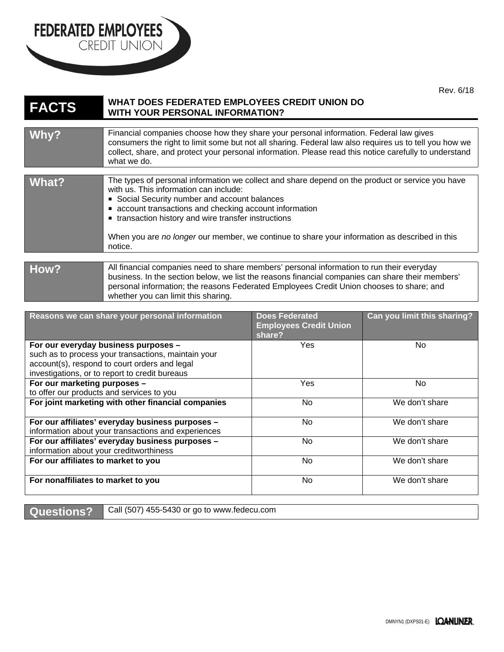

## FEDERATED EMPLOYEES

| <b>FACTS</b> | WHAT DOES FEDERATED EMPLOYEES CREDIT UNION DO<br>WITH YOUR PERSONAL INFORMATION?                                                                                                                                                                                                                                                                                                                                         |
|--------------|--------------------------------------------------------------------------------------------------------------------------------------------------------------------------------------------------------------------------------------------------------------------------------------------------------------------------------------------------------------------------------------------------------------------------|
|              |                                                                                                                                                                                                                                                                                                                                                                                                                          |
| Why?         | Financial companies choose how they share your personal information. Federal law gives<br>consumers the right to limit some but not all sharing. Federal law also requires us to tell you how we<br>collect, share, and protect your personal information. Please read this notice carefully to understand<br>what we do.                                                                                                |
|              |                                                                                                                                                                                                                                                                                                                                                                                                                          |
| What?        | The types of personal information we collect and share depend on the product or service you have<br>with us. This information can include:<br>Social Security number and account balances<br>• account transactions and checking account information<br>• transaction history and wire transfer instructions<br>When you are no longer our member, we continue to share your information as described in this<br>notice. |
|              |                                                                                                                                                                                                                                                                                                                                                                                                                          |
| How?         | All financial companies need to share members' personal information to run their everyday<br>business. In the section below, we list the reasons financial companies can share their members'<br>personal information; the reasons Federated Employees Credit Union chooses to share; and<br>whether you can limit this sharing.                                                                                         |

| Reasons we can share your personal information                                                                                                                                                 | <b>Does Federated</b><br><b>Employees Credit Union</b><br>share? | Can you limit this sharing? |
|------------------------------------------------------------------------------------------------------------------------------------------------------------------------------------------------|------------------------------------------------------------------|-----------------------------|
| For our everyday business purposes -<br>such as to process your transactions, maintain your<br>account(s), respond to court orders and legal<br>investigations, or to report to credit bureaus | <b>Yes</b>                                                       | No.                         |
| For our marketing purposes -<br>to offer our products and services to you                                                                                                                      | <b>Yes</b>                                                       | No.                         |
| For joint marketing with other financial companies                                                                                                                                             | <b>No</b>                                                        | We don't share              |
| For our affiliates' everyday business purposes -<br>information about your transactions and experiences                                                                                        | No                                                               | We don't share              |
| For our affiliates' everyday business purposes -<br>information about your creditworthiness                                                                                                    | No.                                                              | We don't share              |
| For our affiliates to market to you                                                                                                                                                            | No.                                                              | We don't share              |
| For nonaffiliates to market to you                                                                                                                                                             | No.                                                              | We don't share              |

Questions? Call (507) 455-5430 or go to www.fedecu.com